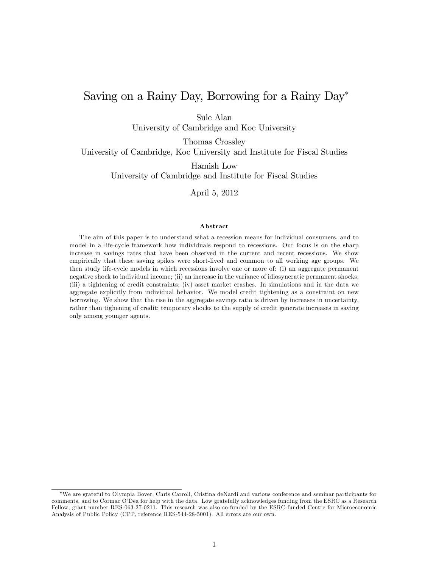# Saving on a Rainy Day, Borrowing for a Rainy Day

Sule Alan

University of Cambridge and Koc University

Thomas Crossley

University of Cambridge, Koc University and Institute for Fiscal Studies

Hamish Low University of Cambridge and Institute for Fiscal Studies

April 5, 2012

#### Abstract

The aim of this paper is to understand what a recession means for individual consumers, and to model in a life-cycle framework how individuals respond to recessions. Our focus is on the sharp increase in savings rates that have been observed in the current and recent recessions. We show empirically that these saving spikes were short-lived and common to all working age groups. We then study life-cycle models in which recessions involve one or more of: (i) an aggregate permanent negative shock to individual income; (ii) an increase in the variance of idiosyncratic permanent shocks; (iii) a tightening of credit constraints; (iv) asset market crashes. In simulations and in the data we aggregate explicitly from individual behavior. We model credit tightening as a constraint on new borrowing. We show that the rise in the aggregate savings ratio is driven by increases in uncertainty, rather than tighening of credit; temporary shocks to the supply of credit generate increases in saving only among younger agents.

We are grateful to Olympia Bover, Chris Carroll, Cristina deNardi and various conference and seminar participants for comments, and to Cormac OíDea for help with the data. Low gratefully acknowledges funding from the ESRC as a Research Fellow, grant number RES-063-27-0211. This research was also co-funded by the ESRC-funded Centre for Microeconomic Analysis of Public Policy (CPP, reference RES-544-28-5001). All errors are our own.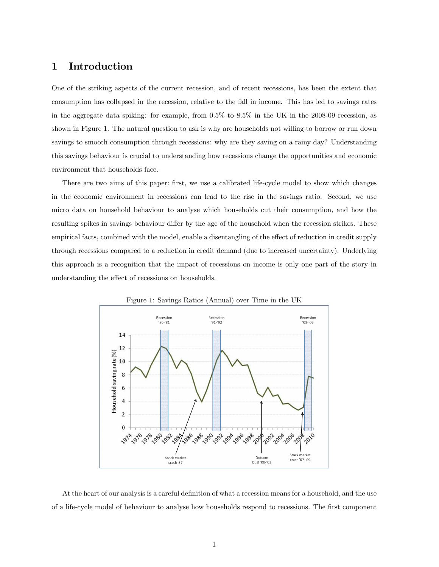## 1 Introduction

One of the striking aspects of the current recession, and of recent recessions, has been the extent that consumption has collapsed in the recession, relative to the fall in income. This has led to savings rates in the aggregate data spiking: for example, from 0.5% to 8.5% in the UK in the 2008-09 recession, as shown in Figure 1. The natural question to ask is why are households not willing to borrow or run down savings to smooth consumption through recessions: why are they saving on a rainy day? Understanding this savings behaviour is crucial to understanding how recessions change the opportunities and economic environment that households face.

There are two aims of this paper: first, we use a calibrated life-cycle model to show which changes in the economic environment in recessions can lead to the rise in the savings ratio. Second, we use micro data on household behaviour to analyse which households cut their consumption, and how the resulting spikes in savings behaviour differ by the age of the household when the recession strikes. These empirical facts, combined with the model, enable a disentangling of the effect of reduction in credit supply through recessions compared to a reduction in credit demand (due to increased uncertainty). Underlying this approach is a recognition that the impact of recessions on income is only one part of the story in understanding the effect of recessions on households.



Figure 1: Savings Ratios (Annual) over Time in the UK

At the heart of our analysis is a careful definition of what a recession means for a household, and the use of a life-cycle model of behaviour to analyse how households respond to recessions. The first component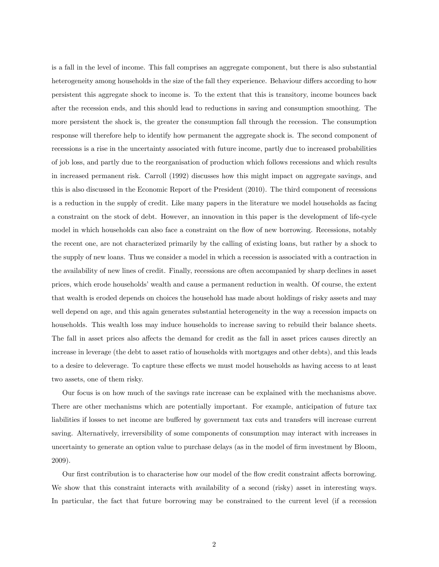is a fall in the level of income. This fall comprises an aggregate component, but there is also substantial heterogeneity among households in the size of the fall they experience. Behaviour differs according to how persistent this aggregate shock to income is. To the extent that this is transitory, income bounces back after the recession ends, and this should lead to reductions in saving and consumption smoothing. The more persistent the shock is, the greater the consumption fall through the recession. The consumption response will therefore help to identify how permanent the aggregate shock is. The second component of recessions is a rise in the uncertainty associated with future income, partly due to increased probabilities of job loss, and partly due to the reorganisation of production which follows recessions and which results in increased permanent risk. Carroll (1992) discusses how this might impact on aggregate savings, and this is also discussed in the Economic Report of the President (2010). The third component of recessions is a reduction in the supply of credit. Like many papers in the literature we model households as facing a constraint on the stock of debt. However, an innovation in this paper is the development of life-cycle model in which households can also face a constraint on the flow of new borrowing. Recessions, notably the recent one, are not characterized primarily by the calling of existing loans, but rather by a shock to the supply of new loans. Thus we consider a model in which a recession is associated with a contraction in the availability of new lines of credit. Finally, recessions are often accompanied by sharp declines in asset prices, which erode householdsíwealth and cause a permanent reduction in wealth. Of course, the extent that wealth is eroded depends on choices the household has made about holdings of risky assets and may well depend on age, and this again generates substantial heterogeneity in the way a recession impacts on households. This wealth loss may induce households to increase saving to rebuild their balance sheets. The fall in asset prices also affects the demand for credit as the fall in asset prices causes directly an increase in leverage (the debt to asset ratio of households with mortgages and other debts), and this leads to a desire to deleverage. To capture these effects we must model households as having access to at least two assets, one of them risky.

Our focus is on how much of the savings rate increase can be explained with the mechanisms above. There are other mechanisms which are potentially important. For example, anticipation of future tax liabilities if losses to net income are buffered by government tax cuts and transfers will increase current saving. Alternatively, irreversibility of some components of consumption may interact with increases in uncertainty to generate an option value to purchase delays (as in the model of firm investment by Bloom, 2009).

Our first contribution is to characterise how our model of the flow credit constraint affects borrowing. We show that this constraint interacts with availability of a second (risky) asset in interesting ways. In particular, the fact that future borrowing may be constrained to the current level (if a recession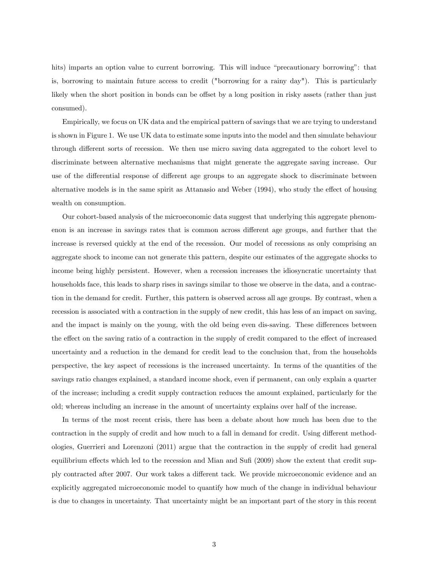hits) imparts an option value to current borrowing. This will induce "precautionary borrowing": that is, borrowing to maintain future access to credit ("borrowing for a rainy day"). This is particularly likely when the short position in bonds can be offset by a long position in risky assets (rather than just consumed).

Empirically, we focus on UK data and the empirical pattern of savings that we are trying to understand is shown in Figure 1. We use UK data to estimate some inputs into the model and then simulate behaviour through different sorts of recession. We then use micro saving data aggregated to the cohort level to discriminate between alternative mechanisms that might generate the aggregate saving increase. Our use of the differential response of different age groups to an aggregate shock to discriminate between alternative models is in the same spirit as Attanasio and Weber  $(1994)$ , who study the effect of housing wealth on consumption.

Our cohort-based analysis of the microeconomic data suggest that underlying this aggregate phenomenon is an increase in savings rates that is common across different age groups, and further that the increase is reversed quickly at the end of the recession. Our model of recessions as only comprising an aggregate shock to income can not generate this pattern, despite our estimates of the aggregate shocks to income being highly persistent. However, when a recession increases the idiosyncratic uncertainty that households face, this leads to sharp rises in savings similar to those we observe in the data, and a contraction in the demand for credit. Further, this pattern is observed across all age groups. By contrast, when a recession is associated with a contraction in the supply of new credit, this has less of an impact on saving, and the impact is mainly on the young, with the old being even dis-saving. These differences between the effect on the saving ratio of a contraction in the supply of credit compared to the effect of increased uncertainty and a reduction in the demand for credit lead to the conclusion that, from the households perspective, the key aspect of recessions is the increased uncertainty. In terms of the quantities of the savings ratio changes explained, a standard income shock, even if permanent, can only explain a quarter of the increase; including a credit supply contraction reduces the amount explained, particularly for the old; whereas including an increase in the amount of uncertainty explains over half of the increase.

In terms of the most recent crisis, there has been a debate about how much has been due to the contraction in the supply of credit and how much to a fall in demand for credit. Using different methodologies, Guerrieri and Lorenzoni (2011) argue that the contraction in the supply of credit had general equilibrium effects which led to the recession and Mian and Sufi (2009) show the extent that credit supply contracted after 2007. Our work takes a different tack. We provide microeconomic evidence and an explicitly aggregated microeconomic model to quantify how much of the change in individual behaviour is due to changes in uncertainty. That uncertainty might be an important part of the story in this recent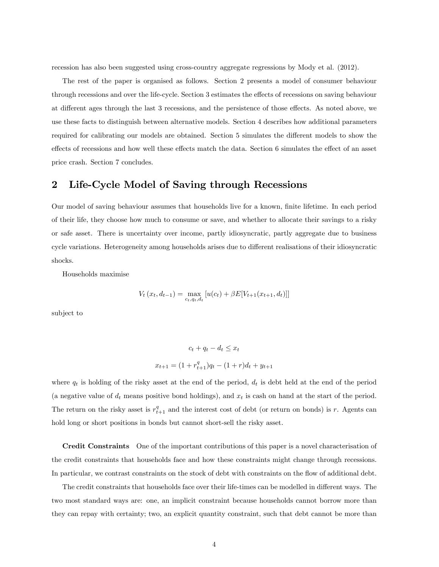recession has also been suggested using cross-country aggregate regressions by Mody et al. (2012).

The rest of the paper is organised as follows. Section 2 presents a model of consumer behaviour through recessions and over the life-cycle. Section 3 estimates the effects of recessions on saving behaviour at different ages through the last 3 recessions, and the persistence of those effects. As noted above, we use these facts to distinguish between alternative models. Section 4 describes how additional parameters required for calibrating our models are obtained. Section 5 simulates the different models to show the effects of recessions and how well these effects match the data. Section 6 simulates the effect of an asset price crash. Section 7 concludes.

## 2 Life-Cycle Model of Saving through Recessions

Our model of saving behaviour assumes that households live for a known, finite lifetime. In each period of their life, they choose how much to consume or save, and whether to allocate their savings to a risky or safe asset. There is uncertainty over income, partly idiosyncratic, partly aggregate due to business cycle variations. Heterogeneity among households arises due to different realisations of their idiosyncratic shocks.

Households maximise

$$
V_t(x_t, d_{t-1}) = \max_{c_t, q_t, d_t} [u(c_t) + \beta E[V_{t+1}(x_{t+1}, d_t)]]
$$

subject to

$$
c_t + q_t - d_t \le x_t
$$

$$
x_{t+1} = (1 + r_{t+1}^q)q_t - (1+r)d_t + y_{t+1}
$$

where  $q_t$  is holding of the risky asset at the end of the period,  $d_t$  is debt held at the end of the period (a negative value of  $d_t$  means positive bond holdings), and  $x_t$  is cash on hand at the start of the period. The return on the risky asset is  $r_{t+1}^q$  and the interest cost of debt (or return on bonds) is r. Agents can hold long or short positions in bonds but cannot short-sell the risky asset.

Credit Constraints One of the important contributions of this paper is a novel characterisation of the credit constraints that households face and how these constraints might change through recessions. In particular, we contrast constraints on the stock of debt with constraints on the flow of additional debt.

The credit constraints that households face over their life-times can be modelled in different ways. The two most standard ways are: one, an implicit constraint because households cannot borrow more than they can repay with certainty; two, an explicit quantity constraint, such that debt cannot be more than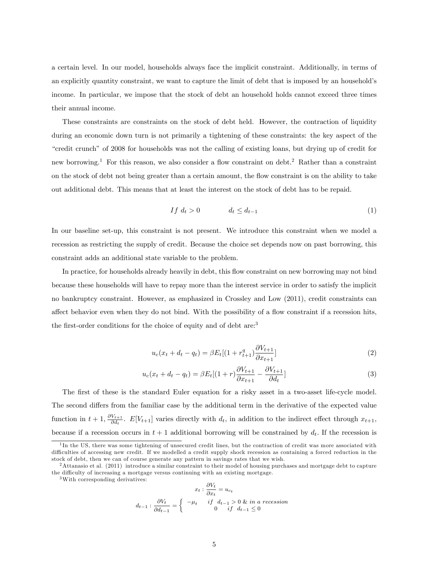a certain level. In our model, households always face the implicit constraint. Additionally, in terms of an explicitly quantity constraint, we want to capture the limit of debt that is imposed by an household's income. In particular, we impose that the stock of debt an household holds cannot exceed three times their annual income.

These constraints are constraints on the stock of debt held. However, the contraction of liquidity during an economic down turn is not primarily a tightening of these constraints: the key aspect of the ìcredit crunchî of 2008 for households was not the calling of existing loans, but drying up of credit for new borrowing.<sup>1</sup> For this reason, we also consider a flow constraint on debt.<sup>2</sup> Rather than a constraint on the stock of debt not being greater than a certain amount, the áow constraint is on the ability to take out additional debt. This means that at least the interest on the stock of debt has to be repaid.

$$
If \ d_t > 0 \qquad \qquad d_t \leq d_{t-1} \tag{1}
$$

In our baseline set-up, this constraint is not present. We introduce this constraint when we model a recession as restricting the supply of credit. Because the choice set depends now on past borrowing, this constraint adds an additional state variable to the problem.

In practice, for households already heavily in debt, this flow constraint on new borrowing may not bind because these households will have to repay more than the interest service in order to satisfy the implicit no bankruptcy constraint. However, as emphasized in Crossley and Low (2011), credit constraints can affect behavior even when they do not bind. With the possibility of a flow constraint if a recession hits, the first-order conditions for the choice of equity and of debt are:<sup>3</sup>

$$
u_c(x_t + d_t - q_t) = \beta E_t[(1 + r_{t+1}^q) \frac{\partial V_{t+1}}{\partial x_{t+1}}]
$$
\n(2)

$$
u_c(x_t + d_t - q_t) = \beta E_t[(1+r)\frac{\partial V_{t+1}}{\partial x_{t+1}} - \frac{\partial V_{t+1}}{\partial d_t}]
$$
\n(3)

The first of these is the standard Euler equation for a risky asset in a two-asset life-cycle model. The second differs from the familiar case by the additional term in the derivative of the expected value function in  $t+1$ ,  $\frac{\partial V_{t+1}}{\partial d}$  $\frac{V_{t+1}}{\partial d_t}$ .  $E[V_{t+1}]$  varies directly with  $d_t$ , in addition to the indirect effect through  $x_{t+1}$ , because if a recession occurs in  $t + 1$  additional borrowing will be constrained by  $d_t$ . If the recession is

 $d$ 

$$
x_t : \frac{\partial V_t}{\partial x_t} = u_{c_t}
$$
  

$$
t_{t-1} : \frac{\partial V_t}{\partial d_{t-1}} = \begin{cases} -\mu_t & \text{if } d_{t-1} > 0 \text{ & in } a \text{ recession} \\ 0 & \text{if } d_{t-1} \le 0 \end{cases}
$$

<sup>&</sup>lt;sup>1</sup>In the US, there was some tightening of unsecured credit lines, but the contraction of credit was more associated with difficulties of accessing new credit. If we modelled a credit supply shock recession as containing a forced reduction in the stock of debt, then we can of course generate any pattern in savings rates that we wish.

<sup>&</sup>lt;sup>2</sup> Attanasio et al. (2011) introduce a similar constraint to their model of housing purchases and mortgage debt to capture the difficulty of increasing a mortgage versus continuing with an existing mortgage.

<sup>3</sup>With corresponding derivatives: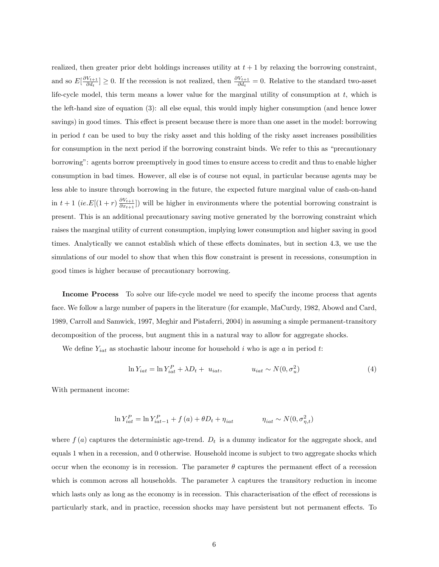realized, then greater prior debt holdings increases utility at  $t + 1$  by relaxing the borrowing constraint, and so  $E[\frac{\partial V_{t+1}}{\partial d}$  $\frac{V_{t+1}}{\partial d_t} \geq 0$ . If the recession is not realized, then  $\frac{\partial V_{t+1}}{\partial d_t} = 0$ . Relative to the standard two-asset life-cycle model, this term means a lower value for the marginal utility of consumption at  $t$ , which is the left-hand size of equation (3): all else equal, this would imply higher consumption (and hence lower savings) in good times. This effect is present because there is more than one asset in the model: borrowing in period  $t$  can be used to buy the risky asset and this holding of the risky asset increases possibilities for consumption in the next period if the borrowing constraint binds. We refer to this as "precautionary" borrowingî: agents borrow preemptively in good times to ensure access to credit and thus to enable higher consumption in bad times. However, all else is of course not equal, in particular because agents may be less able to insure through borrowing in the future, the expected future marginal value of cash-on-hand in  $t+1$  (ie.  $E[(1+r)\frac{\partial V_{t+1}}{\partial x}$  $\frac{\partial V_{t+1}}{\partial x_{t+1}}$ ) will be higher in environments where the potential borrowing constraint is present. This is an additional precautionary saving motive generated by the borrowing constraint which raises the marginal utility of current consumption, implying lower consumption and higher saving in good times. Analytically we cannot establish which of these effects dominates, but in section 4.3, we use the simulations of our model to show that when this flow constraint is present in recessions, consumption in good times is higher because of precautionary borrowing.

Income Process To solve our life-cycle model we need to specify the income process that agents face. We follow a large number of papers in the literature (for example, MaCurdy, 1982, Abowd and Card, 1989, Carroll and Samwick, 1997, Meghir and Pistaferri, 2004) in assuming a simple permanent-transitory decomposition of the process, but augment this in a natural way to allow for aggregate shocks.

We define  $Y_{iat}$  as stochastic labour income for household i who is age a in period t:

$$
\ln Y_{iat} = \ln Y_{iat}^P + \lambda D_t + u_{iat}, \qquad u_{iat} \sim N(0, \sigma_u^2)
$$
\n(4)

With permanent income:

$$
\ln Y_{iat}^P = \ln Y_{iat-1}^P + f(a) + \theta D_t + \eta_{iat} \qquad \eta_{iat} \sim N(0, \sigma_{\eta, t}^2)
$$

where  $f(a)$  captures the deterministic age-trend.  $D_t$  is a dummy indicator for the aggregate shock, and equals 1 when in a recession, and 0 otherwise. Household income is subject to two aggregate shocks which occur when the economy is in recession. The parameter  $\theta$  captures the permanent effect of a recession which is common across all households. The parameter  $\lambda$  captures the transitory reduction in income which lasts only as long as the economy is in recession. This characterisation of the effect of recessions is particularly stark, and in practice, recession shocks may have persistent but not permanent effects. To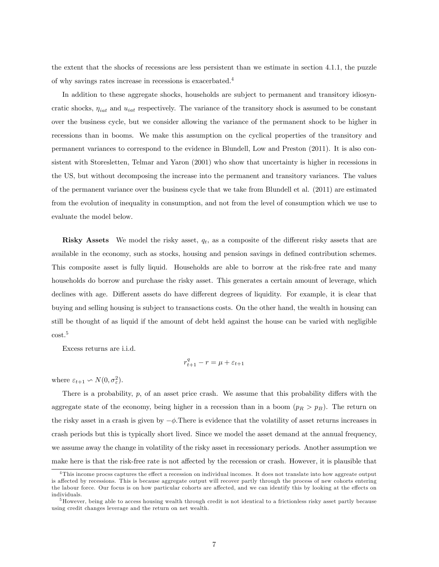the extent that the shocks of recessions are less persistent than we estimate in section 4.1.1, the puzzle of why savings rates increase in recessions is exacerbated.<sup>4</sup>

In addition to these aggregate shocks, households are subject to permanent and transitory idiosyncratic shocks,  $\eta_{iat}$  and  $u_{iat}$  respectively. The variance of the transitory shock is assumed to be constant over the business cycle, but we consider allowing the variance of the permanent shock to be higher in recessions than in booms. We make this assumption on the cyclical properties of the transitory and permanent variances to correspond to the evidence in Blundell, Low and Preston (2011). It is also consistent with Storesletten, Telmar and Yaron (2001) who show that uncertainty is higher in recessions in the US, but without decomposing the increase into the permanent and transitory variances. The values of the permanent variance over the business cycle that we take from Blundell et al. (2011) are estimated from the evolution of inequality in consumption, and not from the level of consumption which we use to evaluate the model below.

Risky Assets We model the risky asset,  $q_t$ , as a composite of the different risky assets that are available in the economy, such as stocks, housing and pension savings in defined contribution schemes. This composite asset is fully liquid. Households are able to borrow at the risk-free rate and many households do borrow and purchase the risky asset. This generates a certain amount of leverage, which declines with age. Different assets do have different degrees of liquidity. For example, it is clear that buying and selling housing is subject to transactions costs. On the other hand, the wealth in housing can still be thought of as liquid if the amount of debt held against the house can be varied with negligible cost.<sup>5</sup>

Excess returns are i.i.d.

$$
r_{t+1}^q - r = \mu + \varepsilon_{t+1}
$$

where  $\varepsilon_{t+1} \backsim N(0, \sigma_{\varepsilon}^2)$ .

There is a probability,  $p$ , of an asset price crash. We assume that this probability differs with the aggregate state of the economy, being higher in a recession than in a boom  $(p_R > p_B)$ . The return on the risky asset in a crash is given by  $-\phi$ . There is evidence that the volatility of asset returns increases in crash periods but this is typically short lived. Since we model the asset demand at the annual frequency, we assume away the change in volatility of the risky asset in recessionary periods. Another assumption we make here is that the risk-free rate is not affected by the recession or crash. However, it is plausible that

 $4$ This income procss captures the effect a recession on individual incomes. It does not translate into how aggreate output is affected by recessions. This is because aggregate output will recover partly through the process of new cohorts entering the labour force. Our focus is on how particular cohorts are affected, and we can identify this by looking at the effects on individuals.

<sup>&</sup>lt;sup>5</sup>However, being able to access housing wealth through credit is not identical to a frictionless risky asset partly because using credit changes leverage and the return on net wealth.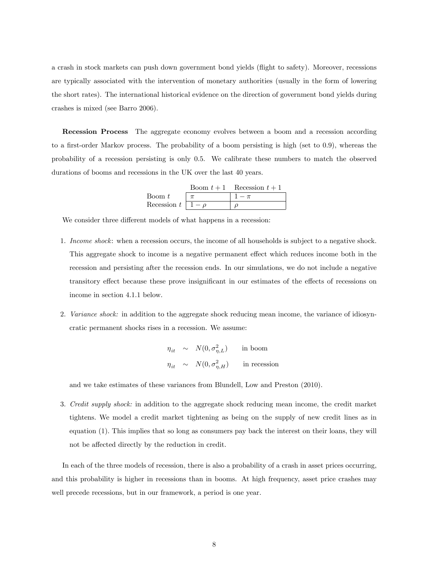a crash in stock markets can push down government bond yields (áight to safety). Moreover, recessions are typically associated with the intervention of monetary authorities (usually in the form of lowering the short rates). The international historical evidence on the direction of government bond yields during crashes is mixed (see Barro 2006).

Recession Process The aggregate economy evolves between a boom and a recession according to a first-order Markov process. The probability of a boom persisting is high (set to 0.9), whereas the probability of a recession persisting is only 0.5. We calibrate these numbers to match the observed durations of booms and recessions in the UK over the last 40 years.

|                           | Boom $t+1$ Recession $t+1$ |
|---------------------------|----------------------------|
| $\emph{Room } t$          |                            |
| Recession $t \mid 1-\rho$ |                            |

We consider three different models of what happens in a recession:

- 1. Income shock: when a recession occurs, the income of all households is subject to a negative shock. This aggregate shock to income is a negative permanent effect which reduces income both in the recession and persisting after the recession ends. In our simulations, we do not include a negative transitory effect because these prove insignificant in our estimates of the effects of recessions on income in section 4.1.1 below.
- 2. Variance shock: in addition to the aggregate shock reducing mean income, the variance of idiosyncratic permanent shocks rises in a recession. We assume:

$$
\eta_{it} \sim N(0, \sigma_{\eta, L}^2) \quad \text{in boom}
$$
  

$$
\eta_{it} \sim N(0, \sigma_{\eta, H}^2) \quad \text{in recession}
$$

and we take estimates of these variances from Blundell, Low and Preston (2010).

3. Credit supply shock: in addition to the aggregate shock reducing mean income, the credit market tightens. We model a credit market tightening as being on the supply of new credit lines as in equation (1). This implies that so long as consumers pay back the interest on their loans, they will not be affected directly by the reduction in credit.

In each of the three models of recession, there is also a probability of a crash in asset prices occurring, and this probability is higher in recessions than in booms. At high frequency, asset price crashes may well precede recessions, but in our framework, a period is one year.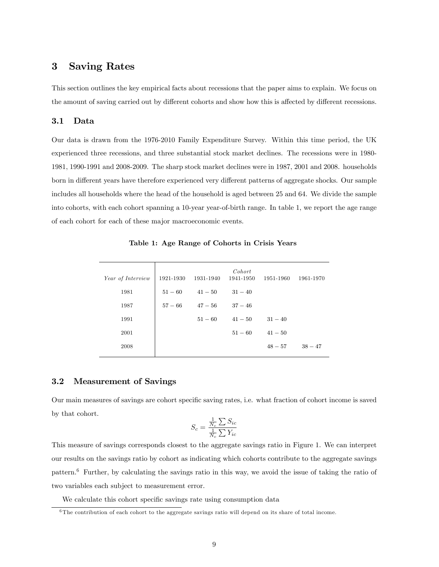## 3 Saving Rates

This section outlines the key empirical facts about recessions that the paper aims to explain. We focus on the amount of saving carried out by different cohorts and show how this is affected by different recessions.

### 3.1 Data

Our data is drawn from the 1976-2010 Family Expenditure Survey. Within this time period, the UK experienced three recessions, and three substantial stock market declines. The recessions were in 1980- 1981, 1990-1991 and 2008-2009. The sharp stock market declines were in 1987, 2001 and 2008. households born in different years have therefore experienced very different patterns of aggregate shocks. Our sample includes all households where the head of the household is aged between 25 and 64. We divide the sample into cohorts, with each cohort spanning a 10-year year-of-birth range. In table 1, we report the age range of each cohort for each of these major macroeconomic events.

| Year of Interview | 1921-1930 | 1931-1940 | Cohort<br>1941-1950 | 1951-1960 | 1961-1970 |
|-------------------|-----------|-----------|---------------------|-----------|-----------|
| 1981              | $51 - 60$ | $41 - 50$ | $31 - 40$           |           |           |
| 1987              | $57 - 66$ | $47 - 56$ | $37 - 46$           |           |           |
| 1991              |           | $51 - 60$ | $41 - 50$           | $31 - 40$ |           |
| 2001              |           |           | $51 - 60$           | $41 - 50$ |           |
| 2008              |           |           |                     | $48 - 57$ | $38 - 47$ |

Table 1: Age Range of Cohorts in Crisis Years

### 3.2 Measurement of Savings

Our main measures of savings are cohort specific saving rates, i.e. what fraction of cohort income is saved by that cohort.

$$
S_c = \frac{\frac{1}{N_c}\sum S_{ic}}{\frac{1}{N_c}\sum Y_{ic}}
$$

This measure of savings corresponds closest to the aggregate savings ratio in Figure 1. We can interpret our results on the savings ratio by cohort as indicating which cohorts contribute to the aggregate savings pattern.<sup>6</sup> Further, by calculating the savings ratio in this way, we avoid the issue of taking the ratio of two variables each subject to measurement error.

We calculate this cohort specific savings rate using consumption data

<sup>6</sup> The contribution of each cohort to the aggregate savings ratio will depend on its share of total income.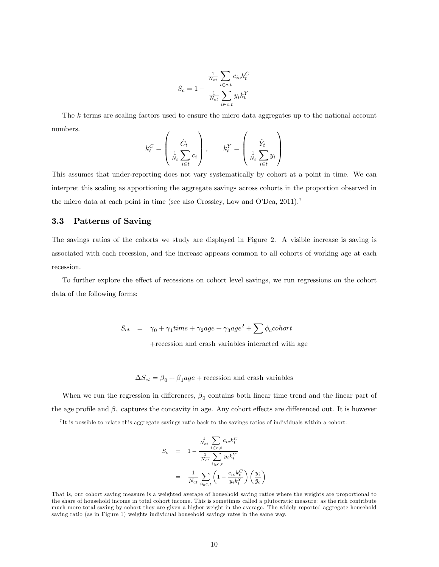$$
S_c = 1 - \frac{\frac{1}{N_{ct}} \sum_{i \in c, t} c_{ic} k_t^C}{\frac{1}{N_{ct}} \sum_{i \in c, t} y_i k_t^Y}
$$

The k terms are scaling factors used to ensure the micro data aggregates up to the national account numbers.

$$
k_t^C = \left(\frac{\hat{C}_t}{\frac{1}{N_t} \sum_{i \in t} c_i}\right), \qquad k_t^Y = \left(\frac{\hat{Y}_t}{\frac{1}{N_t} \sum_{i \in t} y_i}\right)
$$

This assumes that under-reporting does not vary systematically by cohort at a point in time. We can interpret this scaling as apportioning the aggregate savings across cohorts in the proportion observed in the micro data at each point in time (see also Crossley, Low and O'Dea,  $2011$ ).<sup>7</sup>

### 3.3 Patterns of Saving

The savings ratios of the cohorts we study are displayed in Figure 2. A visible increase is saving is associated with each recession, and the increase appears common to all cohorts of working age at each recession.

To further explore the effect of recessions on cohort level savings, we run regressions on the cohort data of the following forms:

 $S_{ct}$  =  $\gamma_0 + \gamma_1 time + \gamma_2 age + \gamma_3 age^2 + \sum \phi_c cohort$ 

+recession and crash variables interacted with age

 $\Delta S_{ct} = \beta_0 + \beta_1 age + \text{recession}$  and crash variables

When we run the regression in differences,  $\beta_0$  contains both linear time trend and the linear part of the age profile and  $\beta_1$  captures the concavity in age. Any cohort effects are differenced out. It is however

$$
S_c = 1 - \frac{\frac{1}{N_{ct}} \sum_{i \in c, t} c_{ic} k_t^C}{\frac{1}{N_{ct}} \sum_{i \in c, t} y_i k_t^Y}
$$

$$
= \frac{1}{N_{ct}} \sum_{i \in c, t} \left(1 - \frac{c_{ic} k_t^C}{y_i k_t^Y}\right) \left(\frac{y_i}{\bar{y}_c}\right)
$$

<sup>7</sup> It is possible to relate this aggregate savings ratio back to the savings ratios of individuals within a cohort:

That is, our cohort saving measure is a weighted average of household saving ratios where the weights are proportional to the share of household income in total cohort income. This is sometimes called a plutocratic measure: as the rich contribute much more total saving by cohort they are given a higher weight in the average. The widely reported aggregate household saving ratio (as in Figure 1) weights individual household savings rates in the same way.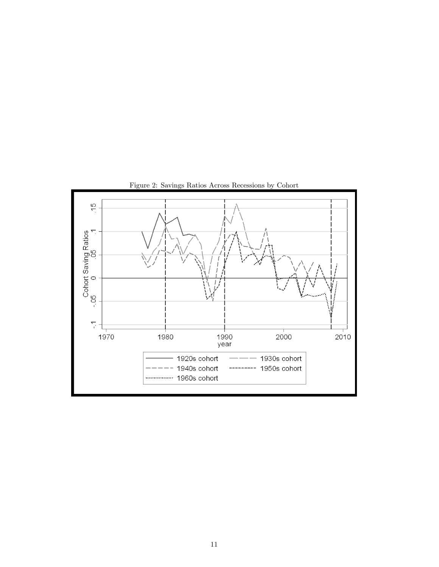

Figure 2: Savings Ratios Across Recessions by Cohort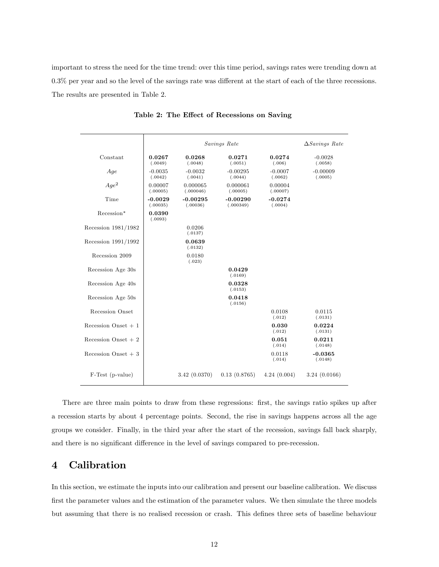important to stress the need for the time trend: over this time period, savings rates were trending down at  $0.3\%$  per year and so the level of the savings rate was different at the start of each of the three recessions. The results are presented in Table 2.

|                      |                       | Savings Rate           |                         |                      | $\Delta$ Savings Rate |
|----------------------|-----------------------|------------------------|-------------------------|----------------------|-----------------------|
| Constant             | 0.0267<br>(.0049)     | 0.0268<br>(.0048)      | 0.0271<br>(.0051)       | 0.0274<br>(.006)     | $-0.0028$<br>(.0058)  |
| Age                  | $-0.0035$<br>(.0042)  | $-0.0032$<br>(.0041)   | $-0.00295$<br>(.0044)   | $-0.0007$<br>(.0062) | $-0.00009$<br>(.0005) |
| $Age^2$              | 0.00007<br>(.00005)   | 0.000065<br>(.000046)  | 0.000061<br>(.00005)    | 0.00004<br>(.00007)  |                       |
| Time                 | $-0.0029$<br>(.00035) | $-0.00295$<br>(.00036) | $-0.00290$<br>(.000349) | $-0.0274$<br>(.0004) |                       |
| Recession*           | 0.0390<br>(.0093)     |                        |                         |                      |                       |
| Recession 1981/1982  |                       | 0.0206<br>(.0137)      |                         |                      |                       |
| Recession 1991/1992  |                       | 0.0639<br>(.0132)      |                         |                      |                       |
| Recession 2009       |                       | 0.0180<br>(.023)       |                         |                      |                       |
| Recession Age 30s    |                       |                        | 0.0429<br>(.0169)       |                      |                       |
| Recession Age 40s    |                       |                        | 0.0328<br>(.0153)       |                      |                       |
| Recession Age 50s    |                       |                        | 0.0418<br>(.0156)       |                      |                       |
| Recession Onset      |                       |                        |                         | 0.0108<br>(.012)     | 0.0115<br>(.0131)     |
| Recession Onset $+1$ |                       |                        |                         | 0.030<br>(.012)      | 0.0224<br>(.0131)     |
| Recession Onset $+2$ |                       |                        |                         | 0.051<br>(.014)      | 0.0211<br>(.0148)     |
| Recession Onset $+3$ |                       |                        |                         | 0.0118<br>(.014)     | $-0.0365$<br>(.0148)  |
| F-Test (p-value)     |                       | 3.42(0.0370)           | 0.13(0.8765)            | 4.24(0.004)          | 3.24(0.0166)          |

Table 2: The Effect of Recessions on Saving

There are three main points to draw from these regressions: first, the savings ratio spikes up after a recession starts by about 4 percentage points. Second, the rise in savings happens across all the age groups we consider. Finally, in the third year after the start of the recession, savings fall back sharply, and there is no significant difference in the level of savings compared to pre-recession.

## 4 Calibration

In this section, we estimate the inputs into our calibration and present our baseline calibration. We discuss first the parameter values and the estimation of the parameter values. We then simulate the three models but assuming that there is no realised recession or crash. This defines three sets of baseline behaviour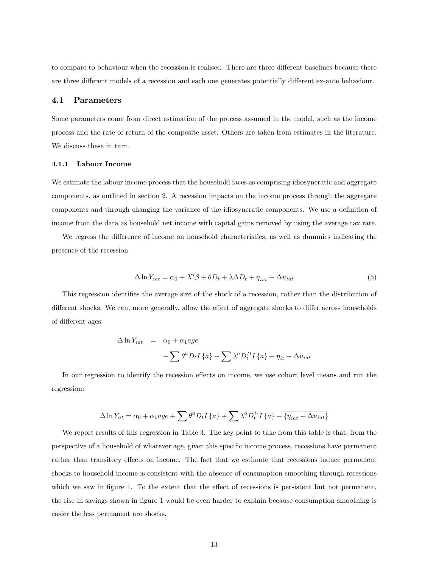to compare to behaviour when the recession is realised. There are three different baselines because there are three different models of a recession and each one generates potentially different ex-ante behaviour.

### 4.1 Parameters

Some parameters come from direct estimation of the process assumed in the model, such as the income process and the rate of return of the composite asset. Others are taken from estimates in the literature. We discuss these in turn.

### 4.1.1 Labour Income

We estimate the labour income process that the household faces as comprising idiosyncratic and aggregate components, as outlined in section 2. A recession impacts on the income process through the aggregate components and through changing the variance of the idiosyncratic components. We use a definition of income from the data as household net income with capital gains removed by using the average tax rate.

We regress the difference of income on household characteristics, as well as dummies indicating the presence of the recession.

$$
\Delta \ln Y_{iat} = \alpha_0 + X'\beta + \theta D_t + \lambda \Delta D_t + \eta_{iat} + \Delta u_{iat} \tag{5}
$$

This regression identifies the average size of the shock of a recession, rather than the distribution of different shocks. We can, more generally, allow the effect of aggregate shocks to differ across households of different ages:

$$
\Delta \ln Y_{iat} = \alpha_0 + \alpha_1 age
$$
  
+ 
$$
\sum \theta^a D_t I \{a\} + \sum \lambda^a D_t^D I \{a\} + \eta_{it} + \Delta u_{iat}
$$

In our regression to identify the recession effects on income, we use cohort level means and run the regression:

$$
\Delta \ln Y_{at} = \alpha_0 + \alpha_1 age + \sum \theta^a D_t I \{a\} + \sum \lambda^a D_t^D I \{a\} + \overline{\{\eta_{iat} + \Delta u_{iat}\}}
$$

We report results of this regression in Table 3. The key point to take from this table is that, from the perspective of a household of whatever age, given this speciÖc income process, recessions have permanent rather than transitory effects on income. The fact that we estimate that recessions induce permanent shocks to household income is consistent with the absence of consumption smoothing through recessions which we saw in figure 1. To the extent that the effect of recessions is persistent but not permanent, the rise in savings shown in figure 1 would be even harder to explain because consumption smoothing is easier the less permanent are shocks.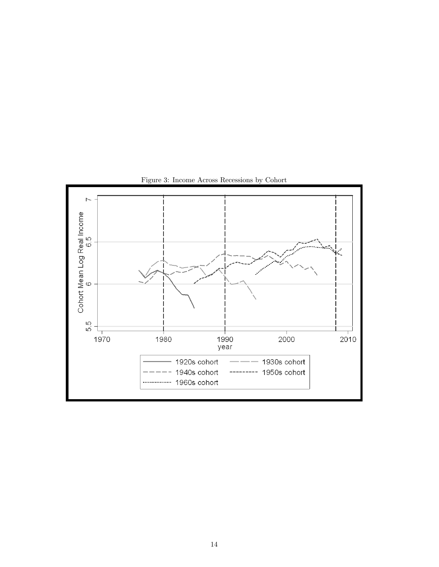

Figure 3: Income Across Recessions by Cohort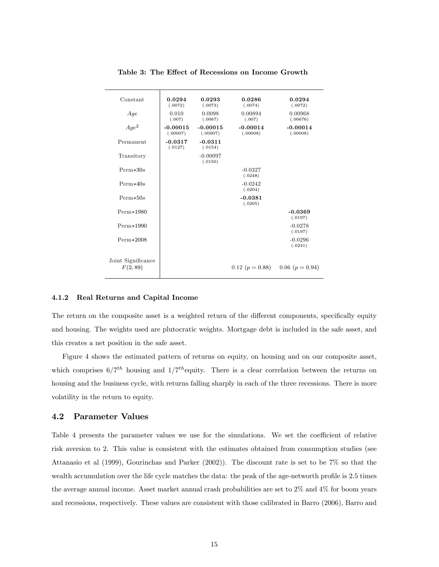| Constant                       | 0.0294<br>(.0072)      | 0.0293<br>(.0073)      | 0.0286<br>(.0074)      | 0.0294<br>(.0072)      |
|--------------------------------|------------------------|------------------------|------------------------|------------------------|
| Age                            | 0.010<br>(.007)        | 0.0098<br>(.0067)      | 0.00894<br>(.007)      | 0.00968<br>(.00676)    |
| $Age^2$                        | $-0.00015$<br>(.00007) | $-0.00015$<br>(.00007) | $-0.00014$<br>(.00008) | $-0.00014$<br>(.00008) |
| Permanent                      | $-0.0317$<br>(.0127)   | $-0.0311$<br>(.0154)   |                        |                        |
| Transitory                     |                        | $-0.00097$<br>(.0150)  |                        |                        |
| $Perm*30s$                     |                        |                        | $-0.0327$<br>(.0248)   |                        |
| $Perm*40s$                     |                        |                        | $-0.0242$<br>(.0204)   |                        |
| $Perm*50s$                     |                        |                        | $-0.0381$<br>(.0205)   |                        |
| $Perm*1980$                    |                        |                        |                        | $-0.0369$<br>(.0197)   |
| $Perm*1990$                    |                        |                        |                        | $-0.0278$<br>(.0197)   |
| $Perm*2008$                    |                        |                        |                        | $-0.0296$<br>(.0241)   |
| Joint Significance<br>F(2, 89) |                        |                        | $0.12$ ( $p = 0.88$ )  | $0.06$ $(p = 0.94)$    |

Table 3: The Effect of Recessions on Income Growth

#### 4.1.2 Real Returns and Capital Income

The return on the composite asset is a weighted return of the different components, specifically equity and housing. The weights used are plutocratic weights. Mortgage debt is included in the safe asset, and this creates a net position in the safe asset.

Figure 4 shows the estimated pattern of returns on equity, on housing and on our composite asset, which comprises  $6/7^{th}$  housing and  $1/7^{th}$  equity. There is a clear correlation between the returns on housing and the business cycle, with returns falling sharply in each of the three recessions. There is more volatility in the return to equity.

### 4.2 Parameter Values

Table 4 presents the parameter values we use for the simulations. We set the coefficient of relative risk aversion to 2. This value is consistent with the estimates obtained from consumption studies (see Attanasio et al (1999), Gourinchas and Parker (2002)). The discount rate is set to be 7% so that the wealth accumulation over the life cycle matches the data: the peak of the age-networth profile is 2.5 times the average annual income. Asset market annual crash probabilities are set to 2% and 4% for boom years and recessions, respectively. These values are consistent with those calibrated in Barro (2006), Barro and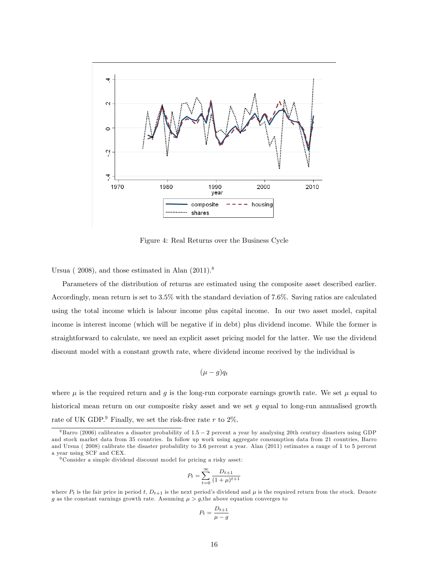

Figure 4: Real Returns over the Business Cycle

Ursua ( $2008$ ), and those estimated in Alan  $(2011).<sup>8</sup>$ 

Parameters of the distribution of returns are estimated using the composite asset described earlier. Accordingly, mean return is set to 3.5% with the standard deviation of 7.6%. Saving ratios are calculated using the total income which is labour income plus capital income. In our two asset model, capital income is interest income (which will be negative if in debt) plus dividend income. While the former is straightforward to calculate, we need an explicit asset pricing model for the latter. We use the dividend discount model with a constant growth rate, where dividend income received by the individual is

$$
(\mu - g)q_t
$$

where  $\mu$  is the required return and g is the long-run corporate earnings growth rate. We set  $\mu$  equal to historical mean return on our composite risky asset and we set  $q$  equal to long-run annualised growth rate of UK GDP.<sup>9</sup> Finally, we set the risk-free rate r to  $2\%$ .

<sup>9</sup> Consider a simple dividend discount model for pricing a risky asset:

$$
P_t = \sum_{t=0}^{\infty} \frac{D_{t+1}}{(1+\mu)^{t+1}}
$$

$$
P_t = \frac{D_{t+1}}{\mu - g}
$$

 $8$ Barro (2006) calibrates a disaster probability of  $1.5 - 2$  percent a year by analysing 20th century disasters using GDP and stock market data from 35 countries. In follow up work using aggregate consumption data from 21 countries, Barro and Ursua ( 2008) calibrate the disaster probability to 3:6 percent a year. Alan (2011) estimates a range of 1 to 5 percent a year using SCF and CEX.

where  $P_t$  is the fair price in period t,  $D_{t+1}$  is the next period's dividend and  $\mu$  is the required return from the stock. Denote g as the constant earnings growth rate. Assuming  $\mu > g$ , the above equation converges to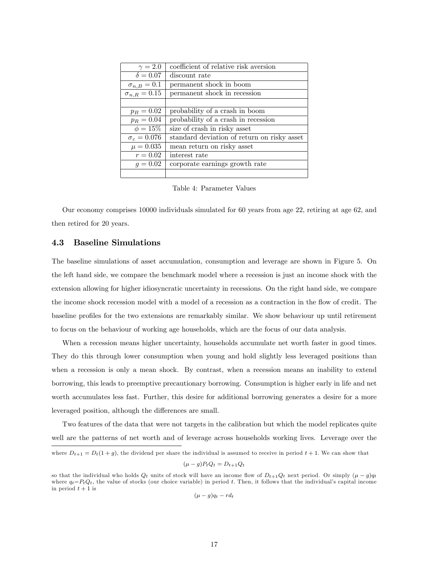| $\gamma = 2.0$                 | coefficient of relative risk aversion       |
|--------------------------------|---------------------------------------------|
| $\delta = 0.07$                | discount rate                               |
| $\sigma_{n,B}=0.1$             | permanent shock in boom                     |
| $\sigma_{n,R}=0.15$            | permanent shock in recession                |
|                                |                                             |
| $p_B = 0.02$                   | probability of a crash in boom              |
| $p_R = 0.04$                   | probability of a crash in recession         |
| $\phi = 15\%$                  | size of crash in risky asset                |
| $\sigma_{\varepsilon} = 0.076$ | standard deviation of return on risky asset |
| $\mu = 0.035$                  | mean return on risky asset                  |
| $r = 0.02$                     | interest rate                               |
| $q = 0.02$                     | corporate earnings growth rate              |
|                                |                                             |

Table 4: Parameter Values

Our economy comprises 10000 individuals simulated for 60 years from age 22, retiring at age 62, and then retired for 20 years.

### 4.3 Baseline Simulations

The baseline simulations of asset accumulation, consumption and leverage are shown in Figure 5. On the left hand side, we compare the benchmark model where a recession is just an income shock with the extension allowing for higher idiosyncratic uncertainty in recessions. On the right hand side, we compare the income shock recession model with a model of a recession as a contraction in the flow of credit. The baseline profiles for the two extensions are remarkably similar. We show behaviour up until retirement to focus on the behaviour of working age households, which are the focus of our data analysis.

When a recession means higher uncertainty, households accumulate net worth faster in good times. They do this through lower consumption when young and hold slightly less leveraged positions than when a recession is only a mean shock. By contrast, when a recession means an inability to extend borrowing, this leads to preemptive precautionary borrowing. Consumption is higher early in life and net worth accumulates less fast. Further, this desire for additional borrowing generates a desire for a more leveraged position, although the differences are small.

Two features of the data that were not targets in the calibration but which the model replicates quite well are the patterns of net worth and of leverage across households working lives. Leverage over the

$$
(\mu - g)P_tQ_t = D_{t+1}Q_t
$$

 $(\mu - g)q_t - rd_t$ 

where  $D_{t+1} = D_t(1+g)$ , the dividend per share the individual is assumed to receive in period  $t+1$ . We can show that

so that the individual who holds  $Q_t$  units of stock will have an income flow of  $D_{t+1}Q_t$  next period. Or simply  $(\mu - g)q_t$ where  $q_t = P_t Q_t$ , the value of stocks (our choice variable) in period t. Then, it follows that the individual's capital income in period  $t + 1$  is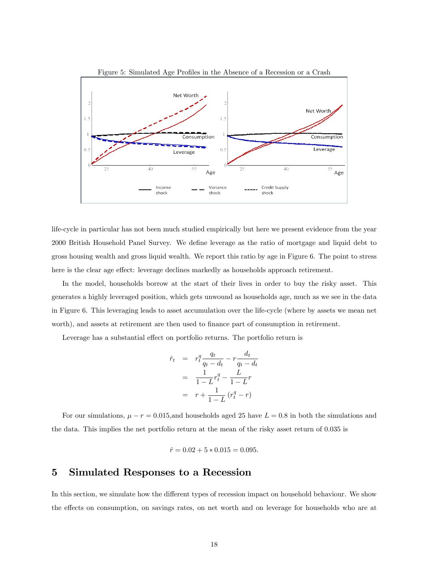

life-cycle in particular has not been much studied empirically but here we present evidence from the year 2000 British Household Panel Survey. We define leverage as the ratio of mortgage and liquid debt to gross housing wealth and gross liquid wealth. We report this ratio by age in Figure 6. The point to stress here is the clear age effect: leverage declines markedly as households approach retirement.

In the model, households borrow at the start of their lives in order to buy the risky asset. This generates a highly leveraged position, which gets unwound as households age, much as we see in the data in Figure 6. This leveraging leads to asset accumulation over the life-cycle (where by assets we mean net worth), and assets at retirement are then used to finance part of consumption in retirement.

Leverage has a substantial effect on portfolio returns. The portfolio return is

$$
\hat{r}_t = r_t^q \frac{q_t}{q_t - d_t} - r \frac{d_t}{q_t - d_t} \n= \frac{1}{1 - L} r_t^q - \frac{L}{1 - L} r \n= r + \frac{1}{1 - L} (r_t^q - r)
$$

For our simulations,  $\mu - r = 0.015$ , and households aged 25 have  $L = 0.8$  in both the simulations and the data. This implies the net portfolio return at the mean of the risky asset return of 0.035 is

$$
\hat{r} = 0.02 + 5 * 0.015 = 0.095.
$$

## 5 Simulated Responses to a Recession

In this section, we simulate how the different types of recession impact on household behaviour. We show the effects on consumption, on savings rates, on net worth and on leverage for households who are at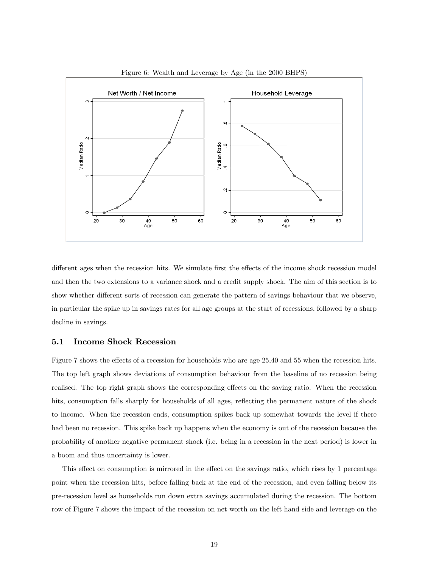

Figure 6: Wealth and Leverage by Age (in the 2000 BHPS)

different ages when the recession hits. We simulate first the effects of the income shock recession model and then the two extensions to a variance shock and a credit supply shock. The aim of this section is to show whether different sorts of recession can generate the pattern of savings behaviour that we observe, in particular the spike up in savings rates for all age groups at the start of recessions, followed by a sharp decline in savings.

## 5.1 Income Shock Recession

Figure 7 shows the effects of a recession for households who are age 25,40 and 55 when the recession hits. The top left graph shows deviations of consumption behaviour from the baseline of no recession being realised. The top right graph shows the corresponding effects on the saving ratio. When the recession hits, consumption falls sharply for households of all ages, reflecting the permanent nature of the shock to income. When the recession ends, consumption spikes back up somewhat towards the level if there had been no recession. This spike back up happens when the economy is out of the recession because the probability of another negative permanent shock (i.e. being in a recession in the next period) is lower in a boom and thus uncertainty is lower.

This effect on consumption is mirrored in the effect on the savings ratio, which rises by 1 percentage point when the recession hits, before falling back at the end of the recession, and even falling below its pre-recession level as households run down extra savings accumulated during the recession. The bottom row of Figure 7 shows the impact of the recession on net worth on the left hand side and leverage on the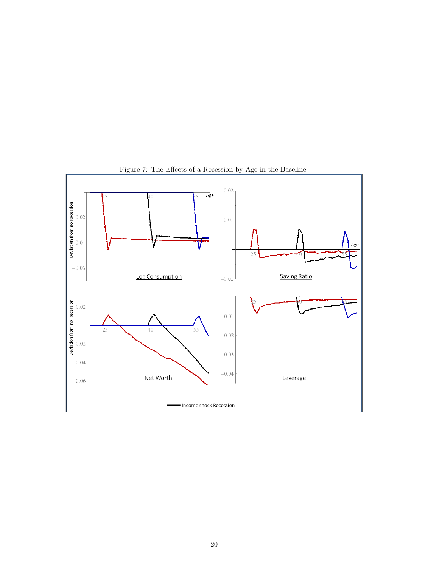

Figure 7: The Effects of a Recession by Age in the Baseline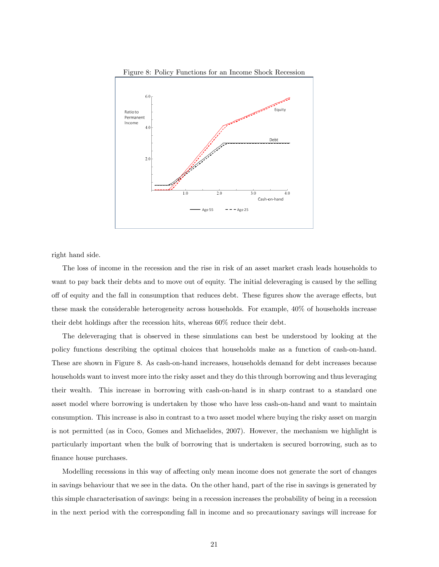

Figure 8: Policy Functions for an Income Shock Recession

right hand side.

The loss of income in the recession and the rise in risk of an asset market crash leads households to want to pay back their debts and to move out of equity. The initial deleveraging is caused by the selling off of equity and the fall in consumption that reduces debt. These figures show the average effects, but these mask the considerable heterogeneity across households. For example, 40% of households increase their debt holdings after the recession hits, whereas 60% reduce their debt.

The deleveraging that is observed in these simulations can best be understood by looking at the policy functions describing the optimal choices that households make as a function of cash-on-hand. These are shown in Figure 8. As cash-on-hand increases, households demand for debt increases because households want to invest more into the risky asset and they do this through borrowing and thus leveraging their wealth. This increase in borrowing with cash-on-hand is in sharp contrast to a standard one asset model where borrowing is undertaken by those who have less cash-on-hand and want to maintain consumption. This increase is also in contrast to a two asset model where buying the risky asset on margin is not permitted (as in Coco, Gomes and Michaelides, 2007). However, the mechanism we highlight is particularly important when the bulk of borrowing that is undertaken is secured borrowing, such as to finance house purchases.

Modelling recessions in this way of affecting only mean income does not generate the sort of changes in savings behaviour that we see in the data. On the other hand, part of the rise in savings is generated by this simple characterisation of savings: being in a recession increases the probability of being in a recession in the next period with the corresponding fall in income and so precautionary savings will increase for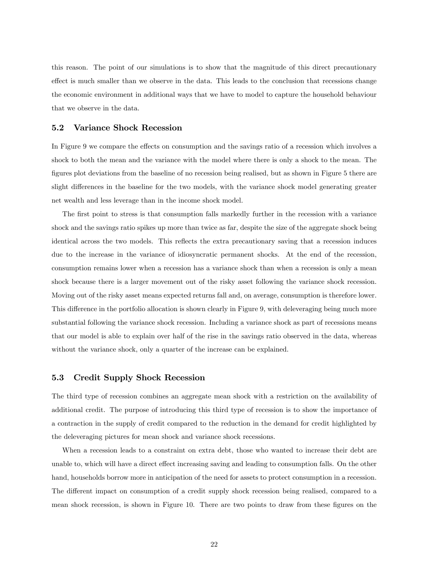this reason. The point of our simulations is to show that the magnitude of this direct precautionary effect is much smaller than we observe in the data. This leads to the conclusion that recessions change the economic environment in additional ways that we have to model to capture the household behaviour that we observe in the data.

### 5.2 Variance Shock Recession

In Figure 9 we compare the effects on consumption and the savings ratio of a recession which involves a shock to both the mean and the variance with the model where there is only a shock to the mean. The figures plot deviations from the baseline of no recession being realised, but as shown in Figure 5 there are slight differences in the baseline for the two models, with the variance shock model generating greater net wealth and less leverage than in the income shock model.

The first point to stress is that consumption falls markedly further in the recession with a variance shock and the savings ratio spikes up more than twice as far, despite the size of the aggregate shock being identical across the two models. This reflects the extra precautionary saving that a recession induces due to the increase in the variance of idiosyncratic permanent shocks. At the end of the recession, consumption remains lower when a recession has a variance shock than when a recession is only a mean shock because there is a larger movement out of the risky asset following the variance shock recession. Moving out of the risky asset means expected returns fall and, on average, consumption is therefore lower. This difference in the portfolio allocation is shown clearly in Figure 9, with deleveraging being much more substantial following the variance shock recession. Including a variance shock as part of recessions means that our model is able to explain over half of the rise in the savings ratio observed in the data, whereas without the variance shock, only a quarter of the increase can be explained.

## 5.3 Credit Supply Shock Recession

The third type of recession combines an aggregate mean shock with a restriction on the availability of additional credit. The purpose of introducing this third type of recession is to show the importance of a contraction in the supply of credit compared to the reduction in the demand for credit highlighted by the deleveraging pictures for mean shock and variance shock recessions.

When a recession leads to a constraint on extra debt, those who wanted to increase their debt are unable to, which will have a direct effect increasing saving and leading to consumption falls. On the other hand, households borrow more in anticipation of the need for assets to protect consumption in a recession. The different impact on consumption of a credit supply shock recession being realised, compared to a mean shock recession, is shown in Figure 10. There are two points to draw from these figures on the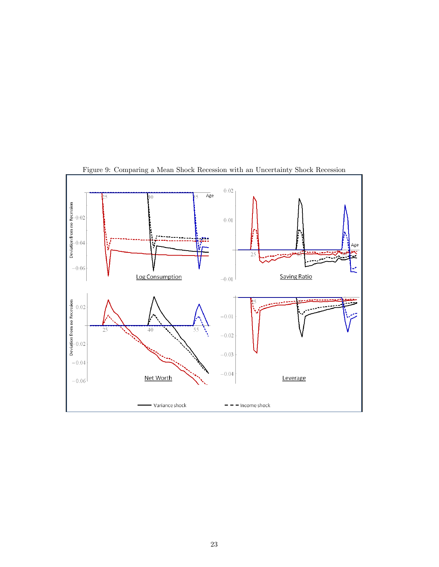

Figure 9: Comparing a Mean Shock Recession with an Uncertainty Shock Recession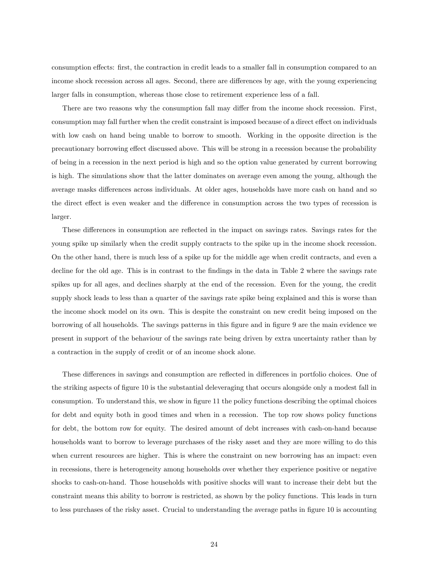consumption effects: first, the contraction in credit leads to a smaller fall in consumption compared to an income shock recession across all ages. Second, there are differences by age, with the young experiencing larger falls in consumption, whereas those close to retirement experience less of a fall.

There are two reasons why the consumption fall may differ from the income shock recession. First, consumption may fall further when the credit constraint is imposed because of a direct effect on individuals with low cash on hand being unable to borrow to smooth. Working in the opposite direction is the precautionary borrowing effect discussed above. This will be strong in a recession because the probability of being in a recession in the next period is high and so the option value generated by current borrowing is high. The simulations show that the latter dominates on average even among the young, although the average masks differences across individuals. At older ages, households have more cash on hand and so the direct effect is even weaker and the difference in consumption across the two types of recession is larger.

These differences in consumption are reflected in the impact on savings rates. Savings rates for the young spike up similarly when the credit supply contracts to the spike up in the income shock recession. On the other hand, there is much less of a spike up for the middle age when credit contracts, and even a decline for the old age. This is in contrast to the findings in the data in Table 2 where the savings rate spikes up for all ages, and declines sharply at the end of the recession. Even for the young, the credit supply shock leads to less than a quarter of the savings rate spike being explained and this is worse than the income shock model on its own. This is despite the constraint on new credit being imposed on the borrowing of all households. The savings patterns in this Ögure and in Ögure 9 are the main evidence we present in support of the behaviour of the savings rate being driven by extra uncertainty rather than by a contraction in the supply of credit or of an income shock alone.

These differences in savings and consumption are reflected in differences in portfolio choices. One of the striking aspects of figure 10 is the substantial deleveraging that occurs alongside only a modest fall in consumption. To understand this, we show in figure 11 the policy functions describing the optimal choices for debt and equity both in good times and when in a recession. The top row shows policy functions for debt, the bottom row for equity. The desired amount of debt increases with cash-on-hand because households want to borrow to leverage purchases of the risky asset and they are more willing to do this when current resources are higher. This is where the constraint on new borrowing has an impact: even in recessions, there is heterogeneity among households over whether they experience positive or negative shocks to cash-on-hand. Those households with positive shocks will want to increase their debt but the constraint means this ability to borrow is restricted, as shown by the policy functions. This leads in turn to less purchases of the risky asset. Crucial to understanding the average paths in figure 10 is accounting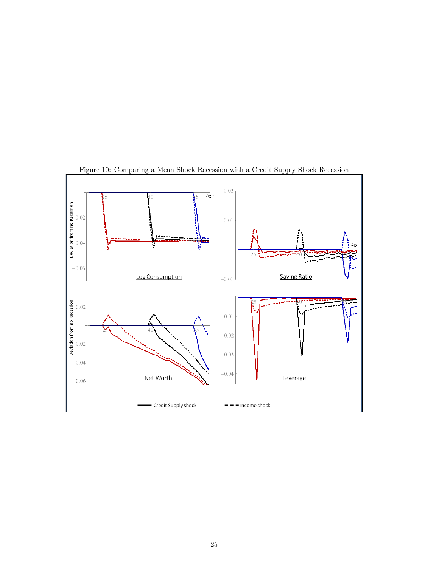

Figure 10: Comparing a Mean Shock Recession with a Credit Supply Shock Recession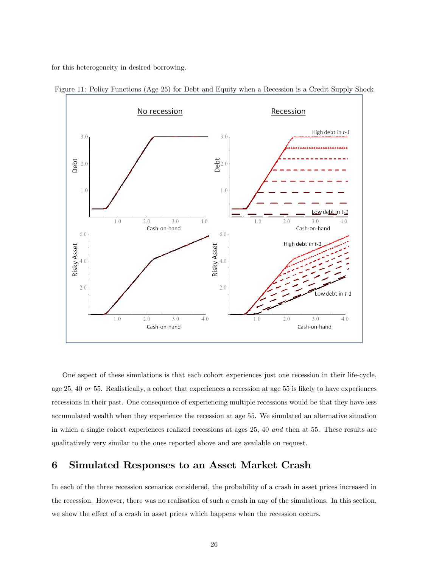for this heterogeneity in desired borrowing.



Figure 11: Policy Functions (Age 25) for Debt and Equity when a Recession is a Credit Supply Shock

One aspect of these simulations is that each cohort experiences just one recession in their life-cycle, age 25, 40 or 55. Realistically, a cohort that experiences a recession at age 55 is likely to have experiences recessions in their past. One consequence of experiencing multiple recessions would be that they have less accumulated wealth when they experience the recession at age 55. We simulated an alternative situation in which a single cohort experiences realized recessions at ages 25, 40 and then at 55. These results are qualitatively very similar to the ones reported above and are available on request.

## 6 Simulated Responses to an Asset Market Crash

In each of the three recession scenarios considered, the probability of a crash in asset prices increased in the recession. However, there was no realisation of such a crash in any of the simulations. In this section, we show the effect of a crash in asset prices which happens when the recession occurs.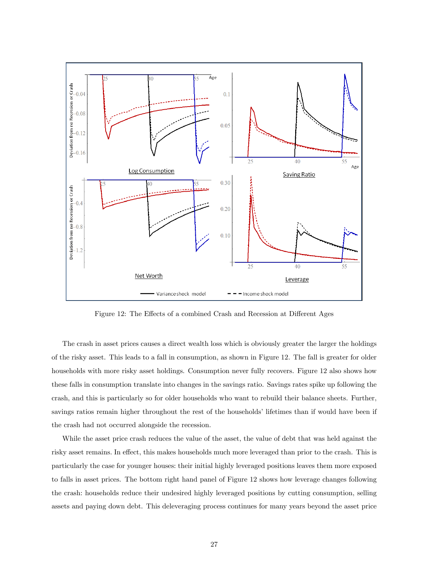

Figure 12: The Effects of a combined Crash and Recession at Different Ages

The crash in asset prices causes a direct wealth loss which is obviously greater the larger the holdings of the risky asset. This leads to a fall in consumption, as shown in Figure 12. The fall is greater for older households with more risky asset holdings. Consumption never fully recovers. Figure 12 also shows how these falls in consumption translate into changes in the savings ratio. Savings rates spike up following the crash, and this is particularly so for older households who want to rebuild their balance sheets. Further, savings ratios remain higher throughout the rest of the households' lifetimes than if would have been if the crash had not occurred alongside the recession.

While the asset price crash reduces the value of the asset, the value of debt that was held against the risky asset remains. In effect, this makes households much more leveraged than prior to the crash. This is particularly the case for younger houses: their initial highly leveraged positions leaves them more exposed to falls in asset prices. The bottom right hand panel of Figure 12 shows how leverage changes following the crash: households reduce their undesired highly leveraged positions by cutting consumption, selling assets and paying down debt. This deleveraging process continues for many years beyond the asset price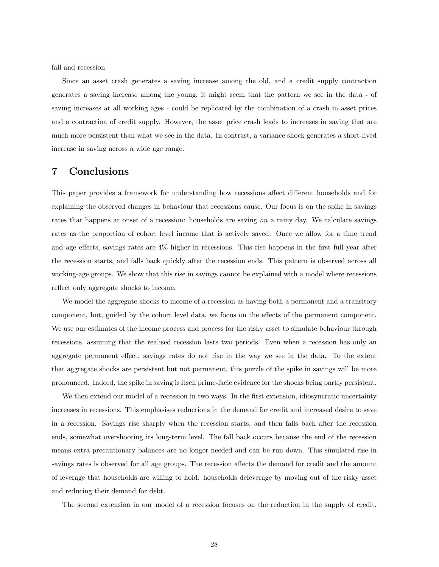fall and recession.

Since an asset crash generates a saving increase among the old, and a credit supply contraction generates a saving increase among the young, it might seem that the pattern we see in the data - of saving increases at all working ages - could be replicated by the combination of a crash in asset prices and a contraction of credit supply. However, the asset price crash leads to increases in saving that are much more persistent than what we see in the data. In contrast, a variance shock generates a short-lived increase in saving across a wide age range.

## 7 Conclusions

This paper provides a framework for understanding how recessions affect different households and for explaining the observed changes in behaviour that recessions cause. Our focus is on the spike in savings rates that happens at onset of a recession: households are saving on a rainy day. We calculate savings rates as the proportion of cohort level income that is actively saved. Once we allow for a time trend and age effects, savings rates are  $4\%$  higher in recessions. This rise happens in the first full year after the recession starts, and falls back quickly after the recession ends. This pattern is observed across all working-age groups. We show that this rise in savings cannot be explained with a model where recessions reflect only aggregate shocks to income.

We model the aggregate shocks to income of a recession as having both a permanent and a transitory component, but, guided by the cohort level data, we focus on the effects of the permanent component. We use our estimates of the income process and process for the risky asset to simulate behaviour through recessions, assuming that the realised recession lasts two periods. Even when a recession has only an aggregate permanent effect, savings rates do not rise in the way we see in the data. To the extent that aggregate shocks are persistent but not permanent, this puzzle of the spike in savings will be more pronounced. Indeed, the spike in saving is itself prime-facie evidence for the shocks being partly persistent.

We then extend our model of a recession in two ways. In the first extension, idiosyncratic uncertainty increases in recessions. This emphasises reductions in the demand for credit and increased desire to save in a recession. Savings rise sharply when the recession starts, and then falls back after the recession ends, somewhat overshooting its long-term level. The fall back occurs because the end of the recession means extra precautionary balances are no longer needed and can be run down. This simulated rise in savings rates is observed for all age groups. The recession affects the demand for credit and the amount of leverage that households are willing to hold: households deleverage by moving out of the risky asset and reducing their demand for debt.

The second extension in our model of a recession focuses on the reduction in the supply of credit.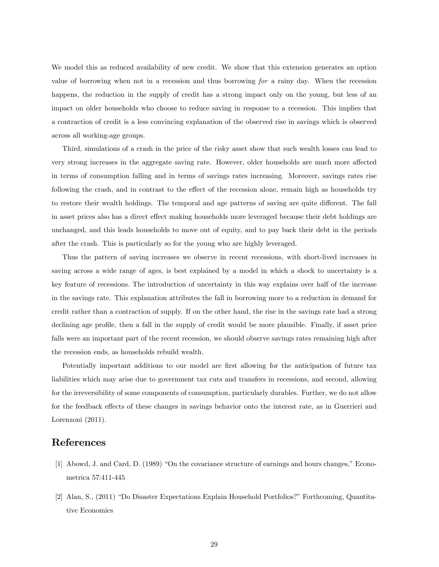We model this as reduced availability of new credit. We show that this extension generates an option value of borrowing when not in a recession and thus borrowing for a rainy day. When the recession happens, the reduction in the supply of credit has a strong impact only on the young, but less of an impact on older households who choose to reduce saving in response to a recession. This implies that a contraction of credit is a less convincing explanation of the observed rise in savings which is observed across all working-age groups.

Third, simulations of a crash in the price of the risky asset show that such wealth losses can lead to very strong increases in the aggregate saving rate. However, older households are much more affected in terms of consumption falling and in terms of savings rates increasing. Moreover, savings rates rise following the crash, and in contrast to the effect of the recession alone, remain high as households try to restore their wealth holdings. The temporal and age patterns of saving are quite different. The fall in asset prices also has a direct effect making households more leveraged because their debt holdings are unchanged, and this leads households to move out of equity, and to pay back their debt in the periods after the crash. This is particularly so for the young who are highly leveraged.

Thus the pattern of saving increases we observe in recent recessions, with short-lived increases in saving across a wide range of ages, is best explained by a model in which a shock to uncertainty is a key feature of recessions. The introduction of uncertainty in this way explains over half of the increase in the savings rate. This explanation attributes the fall in borrowing more to a reduction in demand for credit rather than a contraction of supply. If on the other hand, the rise in the savings rate had a strong declining age profile, then a fall in the supply of credit would be more plausible. Finally, if asset price falls were an important part of the recent recession, we should observe savings rates remaining high after the recession ends, as households rebuild wealth.

Potentially important additions to our model are first allowing for the anticipation of future tax liabilities which may arise due to government tax cuts and transfers in recessions, and second, allowing for the irreversibility of some components of consumption, particularly durables. Further, we do not allow for the feedback effects of these changes in savings behavior onto the interest rate, as in Guerrieri and Lorenzoni (2011).

## References

- [1] Abowd, J. and Card, D. (1989) "On the covariance structure of earnings and hours changes," Econometrica 57:411-445
- [2] Alan, S., (2011) "Do Disaster Expectations Explain Household Portfolios?" Forthcoming, Quantitative Economics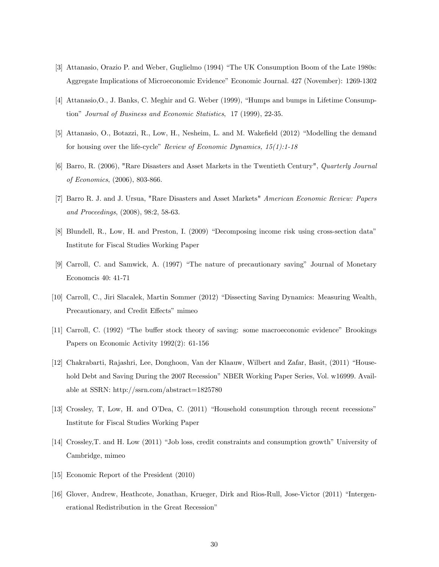- [3] Attanasio, Orazio P. and Weber, Guglielmo (1994) "The UK Consumption Boom of the Late 1980s: Aggregate Implications of Microeconomic Evidence" Economic Journal. 427 (November): 1269-1302
- [4] Attanasio, O., J. Banks, C. Meghir and G. Weber (1999), "Humps and bumps in Lifetime Consumption" Journal of Business and Economic Statistics, 17 (1999), 22-35.
- [5] Attanasio, O., Botazzi, R., Low, H., Nesheim, L. and M. Wakefield (2012) "Modelling the demand for housing over the life-cycle" Review of Economic Dynamics,  $15(1):1-18$
- [6] Barro, R. (2006), "Rare Disasters and Asset Markets in the Twentieth Century", Quarterly Journal of Economics, (2006), 803-866.
- [7] Barro R. J. and J. Ursua, "Rare Disasters and Asset Markets" American Economic Review: Papers and Proceedings, (2008), 98:2, 58-63.
- [8] Blundell, R., Low, H. and Preston, I. (2009) "Decomposing income risk using cross-section data" Institute for Fiscal Studies Working Paper
- [9] Carroll, C. and Samwick, A. (1997) "The nature of precautionary saving" Journal of Monetary Economcis 40: 41-71
- [10] Carroll, C., Jiri Slacalek, Martin Sommer (2012) "Dissecting Saving Dynamics: Measuring Wealth, Precautionary, and Credit Effects" mimeo
- [11] Carroll, C. (1992) "The buffer stock theory of saving: some macroeconomic evidence" Brookings Papers on Economic Activity 1992(2): 61-156
- [12] Chakrabarti, Rajashri, Lee, Donghoon, Van der Klaauw, Wilbert and Zafar, Basit, (2011) "Household Debt and Saving During the 2007 Recession" NBER Working Paper Series, Vol. w16999. Available at SSRN: http://ssrn.com/abstract=1825780
- [13] Crossley, T, Low, H. and O'Dea, C. (2011) "Household consumption through recent recessions" Institute for Fiscal Studies Working Paper
- [14] Crossley, T. and H. Low (2011) "Job loss, credit constraints and consumption growth" University of Cambridge, mimeo
- [15] Economic Report of the President (2010)
- [16] Glover, Andrew, Heathcote, Jonathan, Krueger, Dirk and Rios-Rull, Jose-Victor (2011) "Intergenerational Redistribution in the Great Recession"